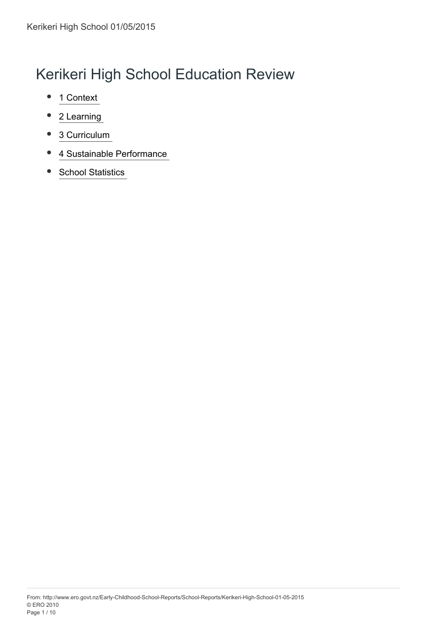# Kerikeri High School Education Review

- 1 Context  $\bullet$
- 2 Learning
- [3 Curriculum 4](#page-4-0)  $\bullet$
- [4 Sustainable Performance 6](#page-6-0)  $\bullet$
- **School Statistics**  $\bullet$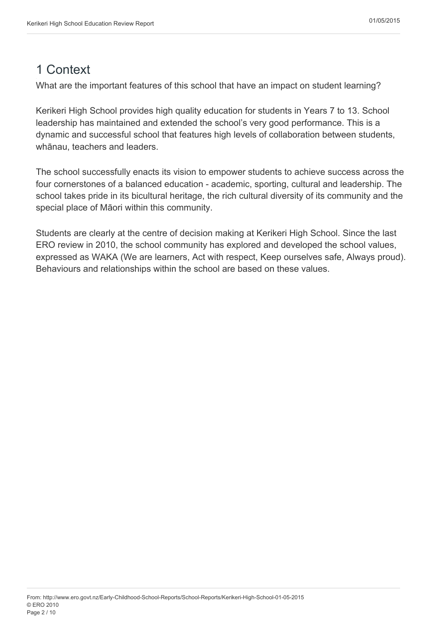### <span id="page-1-0"></span>1 Context

What are the important features of this school that have an impact on student learning?

Kerikeri High School provides high quality education for students in Years 7 to 13. School leadership has maintained and extended the school's very good performance. This is a dynamic and successful school that features high levels of collaboration between students, whānau, teachers and leaders.

The school successfully enacts its vision to empower students to achieve success across the four cornerstones of a balanced education - academic, sporting, cultural and leadership. The school takes pride in its bicultural heritage, the rich cultural diversity of its community and the special place of Māori within this community.

Students are clearly at the centre of decision making at Kerikeri High School. Since the last ERO review in 2010, the school community has explored and developed the school values, expressed as WAKA (We are learners, Act with respect, Keep ourselves safe, Always proud). Behaviours and relationships within the school are based on these values.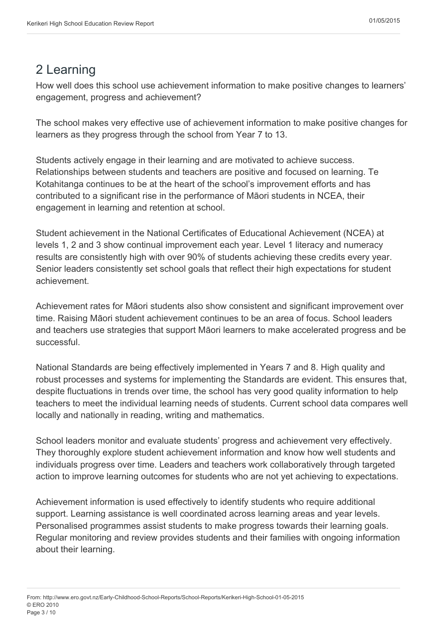## <span id="page-2-0"></span>2 Learning

How well does this school use achievement information to make positive changes to learners' engagement, progress and achievement?

The school makes very effective use of achievement information to make positive changes for learners as they progress through the school from Year 7 to 13.

Students actively engage in their learning and are motivated to achieve success. Relationships between students and teachers are positive and focused on learning. Te Kotahitanga continues to be at the heart of the school's improvement efforts and has contributed to a significant rise in the performance of Māori students in NCEA, their engagement in learning and retention at school.

Student achievement in the National Certificates of Educational Achievement (NCEA) at levels 1, 2 and 3 show continual improvement each year. Level 1 literacy and numeracy results are consistently high with over 90% of students achieving these credits every year. Senior leaders consistently set school goals that reflect their high expectations for student achievement.

Achievement rates for Māori students also show consistent and significant improvement over time. Raising Māori student achievement continues to be an area of focus. School leaders and teachers use strategies that support Māori learners to make accelerated progress and be successful.

National Standards are being effectively implemented in Years 7 and 8. High quality and robust processes and systems for implementing the Standards are evident. This ensures that, despite fluctuations in trends over time, the school has very good quality information to help teachers to meet the individual learning needs of students. Current school data compares well locally and nationally in reading, writing and mathematics.

School leaders monitor and evaluate students' progress and achievement very effectively. They thoroughly explore student achievement information and know how well students and individuals progress over time. Leaders and teachers work collaboratively through targeted action to improve learning outcomes for students who are not yet achieving to expectations.

Achievement information is used effectively to identify students who require additional support. Learning assistance is well coordinated across learning areas and year levels. Personalised programmes assist students to make progress towards their learning goals. Regular monitoring and review provides students and their families with ongoing information about their learning.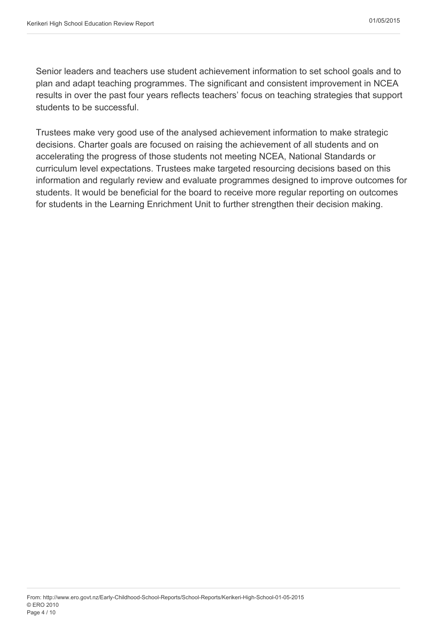Senior leaders and teachers use student achievement information to set school goals and to plan and adapt teaching programmes. The significant and consistent improvement in NCEA results in over the past four years reflects teachers' focus on teaching strategies that support students to be successful.

Trustees make very good use of the analysed achievement information to make strategic decisions. Charter goals are focused on raising the achievement of all students and on accelerating the progress of those students not meeting NCEA, National Standards or curriculum level expectations. Trustees make targeted resourcing decisions based on this information and regularly review and evaluate programmes designed to improve outcomes for students. It would be beneficial for the board to receive more regular reporting on outcomes for students in the Learning Enrichment Unit to further strengthen their decision making.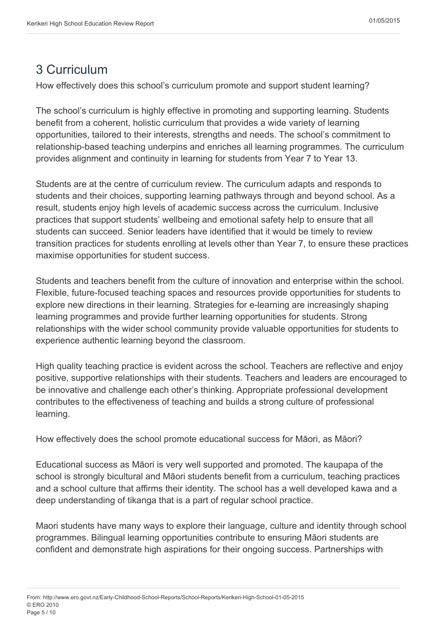### <span id="page-4-0"></span>3 Curriculum

How effectively does this school's curriculum promote and support student learning?

The school's curriculum is highly effective in promoting and supporting learning. Students benefit from a coherent, holistic curriculum that provides a wide variety of learning opportunities, tailored to their interests, strengths and needs. The school's commitment to relationship-based teaching underpins and enriches all learning programmes. The curriculum provides alignment and continuity in learning for students from Year 7 to Year 13.

Students are at the centre of curriculum review. The curriculum adapts and responds to students and their choices, supporting learning pathways through and beyond school. As a result, students enjoy high levels of academic success across the curriculum. Inclusive practices that support students' wellbeing and emotional safety help to ensure that all students can succeed. Senior leaders have identified that it would be timely to review transition practices for students enrolling at levels other than Year 7, to ensure these practices maximise opportunities for student success.

Students and teachers benefit from the culture of innovation and enterprise within the school. Flexible, future-focused teaching spaces and resources provide opportunities for students to explore new directions in their learning. Strategies for e-learning are increasingly shaping learning programmes and provide further learning opportunities for students. Strong relationships with the wider school community provide valuable opportunities for students to experience authentic learning beyond the classroom.

High quality teaching practice is evident across the school. Teachers are reflective and enjoy positive, supportive relationships with their students. Teachers and leaders are encouraged to be innovative and challenge each other's thinking. Appropriate professional development contributes to the effectiveness of teaching and builds a strong culture of professional learning.

How effectively does the school promote educational success for Māori, as Māori?

Educational success as Māori is very well supported and promoted. The kaupapa of the school is strongly bicultural and Māori students benefit from a curriculum, teaching practices and a school culture that affirms their identity. The school has a well developed kawa and a deep understanding of tikanga that is a part of regular school practice.

Maori students have many ways to explore their language, culture and identity through school programmes. Bilingual learning opportunities contribute to ensuring Māori students are confident and demonstrate high aspirations for their ongoing success. Partnerships with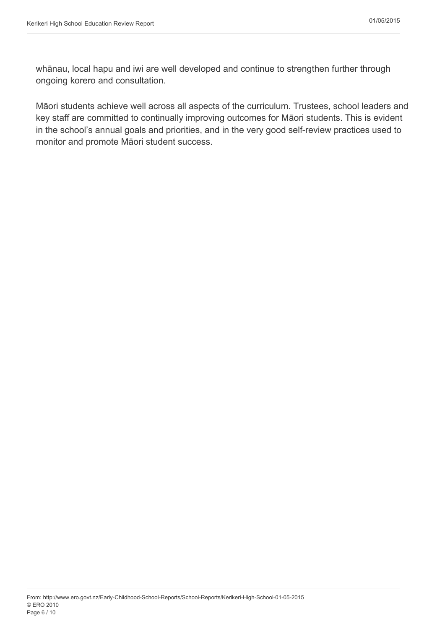whānau, local hapu and iwi are well developed and continue to strengthen further through ongoing korero and consultation.

Māori students achieve well across all aspects of the curriculum. Trustees, school leaders and key staff are committed to continually improving outcomes for Māori students. This is evident in the school's annual goals and priorities, and in the very good self-review practices used to monitor and promote Māori student success.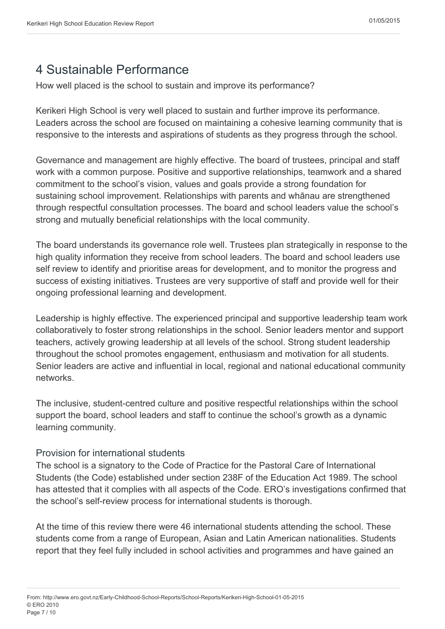## <span id="page-6-0"></span>4 Sustainable Performance

How well placed is the school to sustain and improve its performance?

Kerikeri High School is very well placed to sustain and further improve its performance. Leaders across the school are focused on maintaining a cohesive learning community that is responsive to the interests and aspirations of students as they progress through the school.

Governance and management are highly effective. The board of trustees, principal and staff work with a common purpose. Positive and supportive relationships, teamwork and a shared commitment to the school's vision, values and goals provide a strong foundation for sustaining school improvement. Relationships with parents and whānau are strengthened through respectful consultation processes. The board and school leaders value the school's strong and mutually beneficial relationships with the local community.

The board understands its governance role well. Trustees plan strategically in response to the high quality information they receive from school leaders. The board and school leaders use self review to identify and prioritise areas for development, and to monitor the progress and success of existing initiatives. Trustees are very supportive of staff and provide well for their ongoing professional learning and development.

Leadership is highly effective. The experienced principal and supportive leadership team work collaboratively to foster strong relationships in the school. Senior leaders mentor and support teachers, actively growing leadership at all levels of the school. Strong student leadership throughout the school promotes engagement, enthusiasm and motivation for all students. Senior leaders are active and influential in local, regional and national educational community networks.

The inclusive, student-centred culture and positive respectful relationships within the school support the board, school leaders and staff to continue the school's growth as a dynamic learning community.

#### Provision for international students

The school is a signatory to the Code of Practice for the Pastoral Care of International Students (the Code) established under section 238F of the Education Act 1989. The school has attested that it complies with all aspects of the Code. ERO's investigations confirmed that the school's self-review process for international students is thorough.

At the time of this review there were 46 international students attending the school. These students come from a range of European, Asian and Latin American nationalities. Students report that they feel fully included in school activities and programmes and have gained an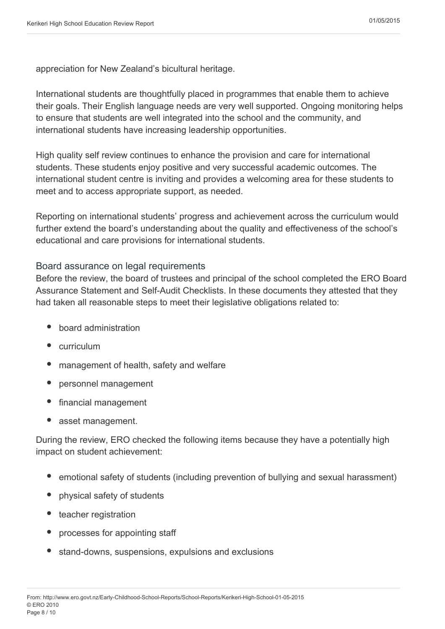appreciation for New Zealand's bicultural heritage.

International students are thoughtfully placed in programmes that enable them to achieve their goals. Their English language needs are very well supported. Ongoing monitoring helps to ensure that students are well integrated into the school and the community, and international students have increasing leadership opportunities.

High quality self review continues to enhance the provision and care for international students. These students enjoy positive and very successful academic outcomes. The international student centre is inviting and provides a welcoming area for these students to meet and to access appropriate support, as needed.

Reporting on international students' progress and achievement across the curriculum would further extend the board's understanding about the quality and effectiveness of the school's educational and care provisions for international students.

#### Board assurance on legal requirements

Before the review, the board of trustees and principal of the school completed the ERO Board Assurance Statement and Self-Audit Checklists. In these documents they attested that they had taken all reasonable steps to meet their legislative obligations related to:

- board administration
- curriculum
- management of health, safety and welfare
- personnel management
- financial management
- asset management.

During the review, ERO checked the following items because they have a potentially high impact on student achievement:

- emotional safety of students (including prevention of bullying and sexual harassment)
- physical safety of students
- teacher registration
- processes for appointing staff
- stand-downs, suspensions, expulsions and exclusions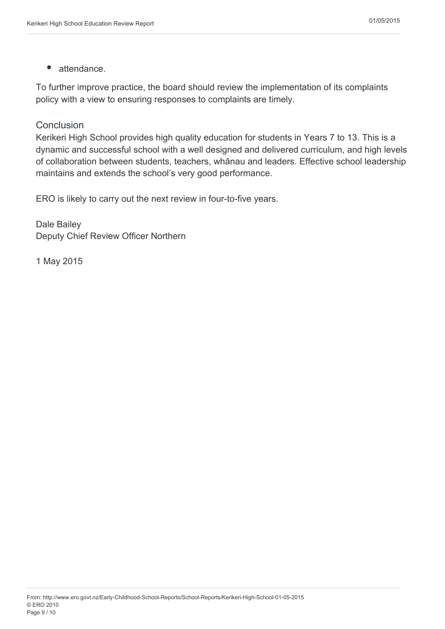$\bullet$ attendance.

To further improve practice, the board should review the implementation of its complaints policy with a view to ensuring responses to complaints are timely.

#### Conclusion

Kerikeri High School provides high quality education for students in Years 7 to 13. This is a dynamic and successful school with a well designed and delivered curriculum, and high levels of collaboration between students, teachers, whānau and leaders. Effective school leadership maintains and extends the school's very good performance.

ERO is likely to carry out the next review in four-to-five years.

Dale Bailey Deputy Chief Review Officer Northern

1 May 2015